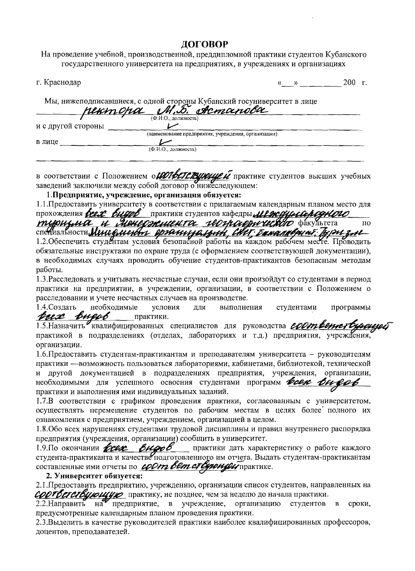## ЛОГОВОР

На проведение учебной, производственной, преддипломной практики студентов Кубанского государственного университета на предприятиях, в учреждениях и организациях

| г. Краснодар       |                                                                        | $\rightarrow$ | 200. | $\Gamma$ |
|--------------------|------------------------------------------------------------------------|---------------|------|----------|
|                    | Мы, нижеподписавшиеся, с одной стороны Кубанский госуниверситет в лице |               |      |          |
|                    |                                                                        |               |      |          |
| и с другой стороны |                                                                        |               |      |          |
|                    | (наименование предприятия, учреждения, организации)                    |               |      |          |
| в лице             |                                                                        |               |      |          |
|                    | (Ф.И.О., должность)                                                    |               |      |          |
|                    |                                                                        |               |      |          |
|                    |                                                                        |               |      |          |

в соответствии с Положением о **ПОТЬЕТСТВУЮЩЕЙ** практике студентов высших учебных заведений заключили между собой договор о нижеследующем:

1. Предприятие, учреждение, организация обязуется:

1.1. Предоставить университету в соответствии с прилагаемым календарным планом место для

прохождения best bugged практики студентов кафедры Mencycloped Distribution Metro Asia

обязательные инструктажи по охране труда (с оформлением соответствующей документации), в необходимых случаях проводить обучение студентов-практикантов безопасным методам работы.

1.3. Расследовать и учитывать несчастные случаи, если они произойдут со студентами в период практики на предприятии, в учреждении, организации, в соответствии с Положением о расследовании и учете несчастных случаев на производстве.

условия 1.4. Создать необходимые лля выполнения студентами программы peese bugob практики.

1.5. Назначить квалифицированных специалистов для руководства соответственно практикой в подразделениях (отделах, лабораториях и т.д.) предприятия, учреждения, организации.

1.6. Предоставить студентам-практикантам и преподавателям университета - руководителям практики — возможность пользоваться лабораториями, кабинетами, библиотекой, технической и другой документацией в подразделениях предприятия, учреждения, организации, необходимыми для успешного освоения студентами программ всех видов практики и выполнения ими индивидуальных заданий.

1.7.В соответствии с графиком проведения практики, согласованным с университетом, осуществлять перемещение студентов по рабочим местам в целях более полного их ознакомления с предприятием, учреждением, организацией в целом.

1.8. Обо всех нарушениях студентами трудовой дисциплины и правил внутреннего распорядка предприятия (учреждения, организации) сообщить в университет.

практики дать характеристику о работе каждого 1.9. По окончании  $bcex$  Видов студента-практиканта и качестве подготовленного им отчета. Выдать студентам-практикантам составленные ими отчеты по составление.

2. Университет обязуется:

2.1. Предоставить предприятию, учреждению, организации список студентов, направленных на СООТ Вет СТВУЮЩУЮ практику, не позднее, чем за неделю до начала практики.

2.2. Направить на предприятие, в учреждение, организацию студентов сроки,  $\bf{B}$ предусмотренные календарным планом проведения практики.

2.3. Выделить в качестве руководителей практики наиболее квалифицированных профессоров, доцентов, преподавателей.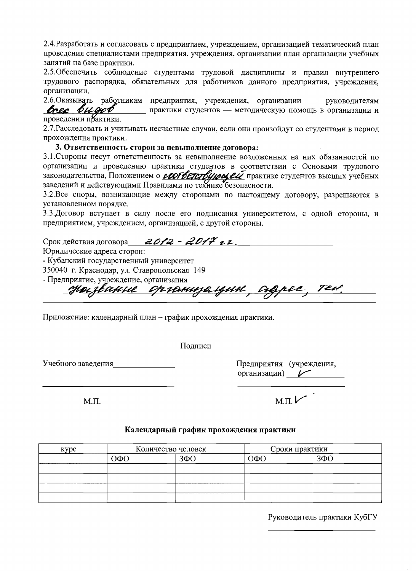2.4. Разработать и согласовать с предприятием, учреждением, организацией тематический план проведения специалистами предприятия, учреждения, организации план организации учебных занятий на базе практики.

2.5. Обеспечить соблюдение студентами трудовой дисциплины и правил внутреннего трудового распорядка, обязательных для работников данного предприятия, учреждения, организации.

2.6. Оказывать работникам предприятия, учреждения, организации - руководителям Весе видоб практики студентов - методическую помощь в организации и проведении практики.

2.7. Расследовать и учитывать несчастные случаи, если они произойдут со студентами в период прохождения практики.

## 3. Ответственность сторон за невыполнение договора:

3.1. Стороны несут ответственность за невыполнение возложенных на них обязанностей по организации и проведению практики студентов в соответствии с Основами трудового законодательства, Положением о **соответствующей** практике студентов высших учебных заведений и действующими Правилами по технике безопасности.

3.2. Все споры, возникающие между сторонами по настоящему договору, разрешаются в установленном порядке.

3.3. Договор вступает в силу после его подписания университетом, с одной стороны, и предприятием, учреждением, организацией, с другой стороны.

Срок действия договора  $20/2 - 20/7$  22.

Юридические адреса сторон:

- Кубанский государственный университет

350040 г. Краснодар, ул. Ставропольская 149

- Предприятие, учреждение, организация<br>Дерекция Северов Сангландра Гулин Старес, Рес.

Приложение: календарный план - график прохождения практики.

Подписи

Учебного заведения

Предприятия (учреждения, организации) /

 $M.\Pi.$ 

 $M.T.$ 

## Календарный график прохождения практики

| KVDC | Количество человек |           |         | Сроки практики |  |
|------|--------------------|-----------|---------|----------------|--|
|      | ОФО                | $3\Phi$ O | $0\Phi$ | $3\Phi$ O      |  |
|      |                    |           |         |                |  |
|      |                    |           |         |                |  |
|      |                    |           |         |                |  |
|      |                    |           |         |                |  |

Руководитель практики КубГУ